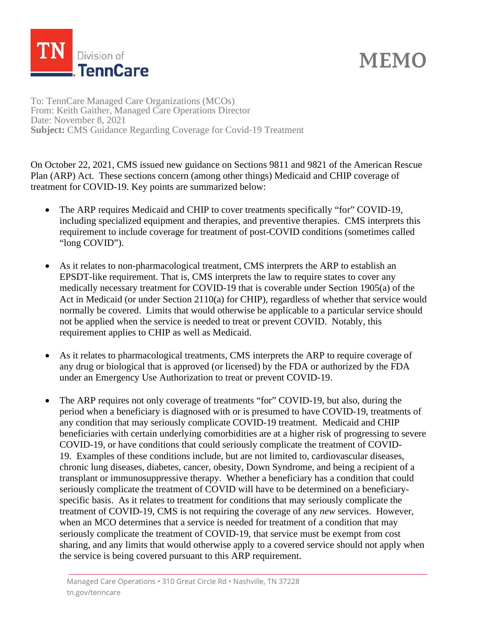

## **MEMO**

To: TennCare Managed Care Organizations (MCOs) From: Keith Gaither, Managed Care Operations Director Date: November 8, 2021 **Subject:** CMS Guidance Regarding Coverage for Covid-19 Treatment

On October 22, 2021, CMS issued new guidance on Sections 9811 and 9821 of the American Rescue Plan (ARP) Act. These sections concern (among other things) Medicaid and CHIP coverage of treatment for COVID-19. Key points are summarized below:

- The ARP requires Medicaid and CHIP to cover treatments specifically "for" COVID-19, including specialized equipment and therapies, and preventive therapies. CMS interprets this requirement to include coverage for treatment of post-COVID conditions (sometimes called "long COVID").
- As it relates to non-pharmacological treatment, CMS interprets the ARP to establish an EPSDT-like requirement. That is, CMS interprets the law to require states to cover any medically necessary treatment for COVID-19 that is coverable under Section 1905(a) of the Act in Medicaid (or under Section 2110(a) for CHIP), regardless of whether that service would normally be covered. Limits that would otherwise be applicable to a particular service should not be applied when the service is needed to treat or prevent COVID. Notably, this requirement applies to CHIP as well as Medicaid.
- As it relates to pharmacological treatments, CMS interprets the ARP to require coverage of any drug or biological that is approved (or licensed) by the FDA or authorized by the FDA under an Emergency Use Authorization to treat or prevent COVID-19.
- The ARP requires not only coverage of treatments "for" COVID-19, but also, during the period when a beneficiary is diagnosed with or is presumed to have COVID-19, treatments of any condition that may seriously complicate COVID-19 treatment. Medicaid and CHIP beneficiaries with certain underlying comorbidities are at a higher risk of progressing to severe COVID-19, or have conditions that could seriously complicate the treatment of COVID-19. Examples of these conditions include, but are not limited to, cardiovascular diseases, chronic lung diseases, diabetes, cancer, obesity, Down Syndrome, and being a recipient of a transplant or immunosuppressive therapy. Whether a beneficiary has a condition that could seriously complicate the treatment of COVID will have to be determined on a beneficiaryspecific basis. As it relates to treatment for conditions that may seriously complicate the treatment of COVID-19, CMS is not requiring the coverage of any *new* services. However, when an MCO determines that a service is needed for treatment of a condition that may seriously complicate the treatment of COVID-19, that service must be exempt from cost sharing, and any limits that would otherwise apply to a covered service should not apply when the service is being covered pursuant to this ARP requirement.